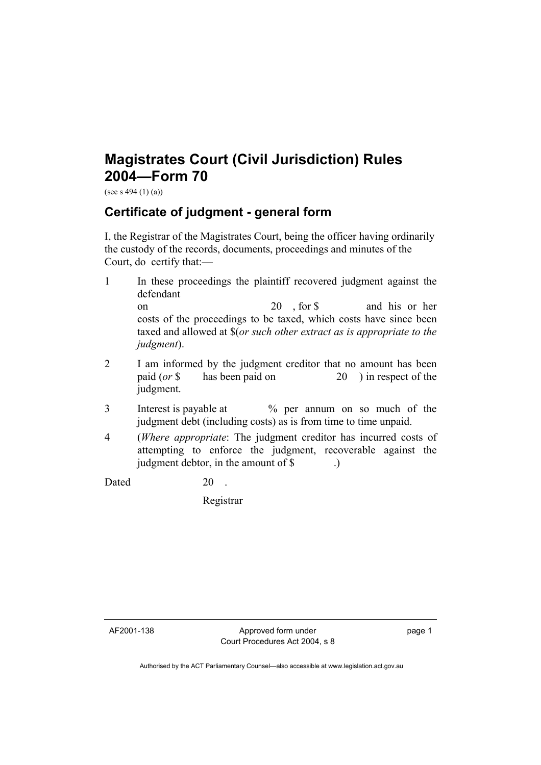## **Magistrates Court (Civil Jurisdiction) Rules 2004—Form 70**

(see s 494 (1) (a))

## **Certificate of judgment - general form**

I, the Registrar of the Magistrates Court, being the officer having ordinarily the custody of the records, documents, proceedings and minutes of the Court, do certify that:—

- 1 In these proceedings the plaintiff recovered judgment against the defendant on 20 , for \$ and his or her costs of the proceedings to be taxed, which costs have since been taxed and allowed at \$(*or such other extract as is appropriate to the judgment*).
- 2 I am informed by the judgment creditor that no amount has been paid (*or* \$ has been paid on 20 ) in respect of the judgment.
- 3 Interest is payable at % per annum on so much of the judgment debt (including costs) as is from time to time unpaid.
- 4 (*Where appropriate*: The judgment creditor has incurred costs of attempting to enforce the judgment, recoverable against the judgment debtor, in the amount of \$ .)

Dated 20 .

Registrar

AF2001-138 Approved form under Court Procedures Act 2004, s 8 page 1

Authorised by the ACT Parliamentary Counsel—also accessible at www.legislation.act.gov.au